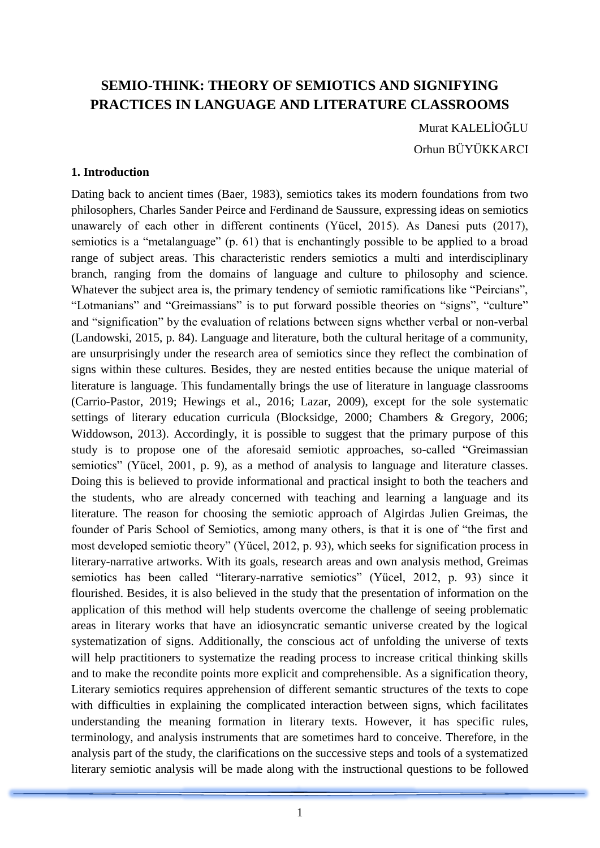## **SEMIO-THINK: THEORY OF SEMIOTICS AND SIGNIFYING PRACTICES IN LANGUAGE AND LITERATURE CLASSROOMS**

Murat KALELİOĞLU Orhun BÜYÜKKARCI

**1. Introduction**

Dating back to ancient times (Baer, 1983), semiotics takes its modern foundations from two philosophers, Charles Sander Peirce and Ferdinand de Saussure, expressing ideas on semiotics unawarely of each other in different continents (Yücel, 2015). As Danesi puts (2017), semiotics is a "metalanguage" (p. 61) that is enchantingly possible to be applied to a broad range of subject areas. This characteristic renders semiotics a multi and interdisciplinary branch, ranging from the domains of language and culture to philosophy and science. Whatever the subject area is, the primary tendency of semiotic ramifications like "Peircians", "Lotmanians" and "Greimassians" is to put forward possible theories on "signs", "culture" and "signification" by the evaluation of relations between signs whether verbal or non-verbal (Landowski, 2015, p. 84). Language and literature, both the cultural heritage of a community, are unsurprisingly under the research area of semiotics since they reflect the combination of signs within these cultures. Besides, they are nested entities because the unique material of literature is language. This fundamentally brings the use of literature in language classrooms (Carrio-Pastor, 2019; Hewings et al., 2016; Lazar, 2009), except for the sole systematic settings of literary education curricula (Blocksidge, 2000; Chambers & Gregory, 2006; Widdowson, 2013). Accordingly, it is possible to suggest that the primary purpose of this study is to propose one of the aforesaid semiotic approaches, so-called "Greimassian semiotics" (Yücel, 2001, p. 9), as a method of analysis to language and literature classes. Doing this is believed to provide informational and practical insight to both the teachers and the students, who are already concerned with teaching and learning a language and its literature. The reason for choosing the semiotic approach of Algirdas Julien Greimas, the founder of Paris School of Semiotics, among many others, is that it is one of "the first and most developed semiotic theory" (Yücel, 2012, p. 93), which seeks for signification process in literary-narrative artworks. With its goals, research areas and own analysis method, Greimas semiotics has been called "literary-narrative semiotics" (Yücel, 2012, p. 93) since it flourished. Besides, it is also believed in the study that the presentation of information on the application of this method will help students overcome the challenge of seeing problematic areas in literary works that have an idiosyncratic semantic universe created by the logical systematization of signs. Additionally, the conscious act of unfolding the universe of texts will help practitioners to systematize the reading process to increase critical thinking skills and to make the recondite points more explicit and comprehensible. As a signification theory, Literary semiotics requires apprehension of different semantic structures of the texts to cope with difficulties in explaining the complicated interaction between signs, which facilitates understanding the meaning formation in literary texts. However, it has specific rules, terminology, and analysis instruments that are sometimes hard to conceive. Therefore, in the analysis part of the study, the clarifications on the successive steps and tools of a systematized literary semiotic analysis will be made along with the instructional questions to be followed

1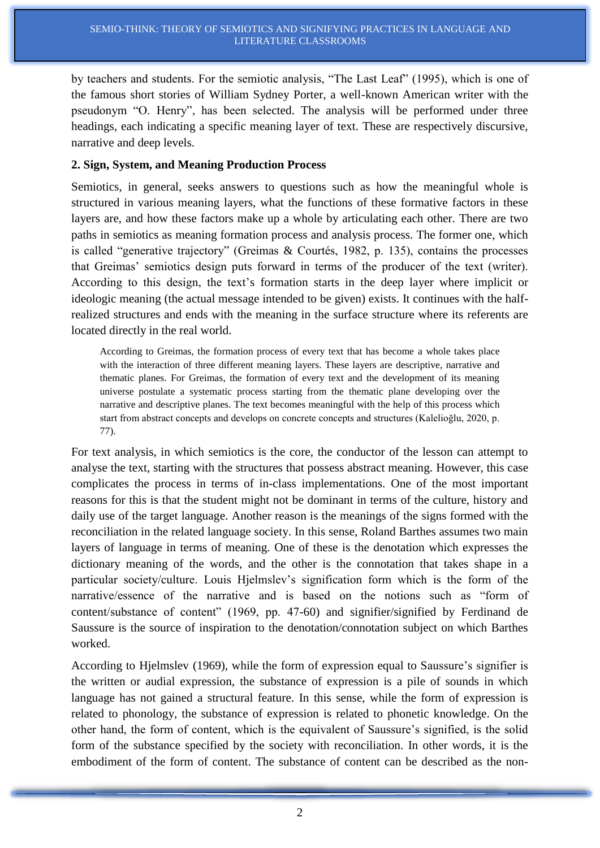by teachers and students. For the semiotic analysis, "The Last Leaf" (1995), which is one of the famous short stories of William Sydney Porter, a well-known American writer with the pseudonym "O. Henry", has been selected. The analysis will be performed under three headings, each indicating a specific meaning layer of text. These are respectively discursive, narrative and deep levels.

#### **2. Sign, System, and Meaning Production Process**

Semiotics, in general, seeks answers to questions such as how the meaningful whole is structured in various meaning layers, what the functions of these formative factors in these layers are, and how these factors make up a whole by articulating each other. There are two paths in semiotics as meaning formation process and analysis process. The former one, which is called "generative trajectory" (Greimas & Courtés, 1982, p. 135), contains the processes that Greimas' semiotics design puts forward in terms of the producer of the text (writer). According to this design, the text's formation starts in the deep layer where implicit or ideologic meaning (the actual message intended to be given) exists. It continues with the halfrealized structures and ends with the meaning in the surface structure where its referents are located directly in the real world.

According to Greimas, the formation process of every text that has become a whole takes place with the interaction of three different meaning layers. These layers are descriptive, narrative and thematic planes. For Greimas, the formation of every text and the development of its meaning universe postulate a systematic process starting from the thematic plane developing over the narrative and descriptive planes. The text becomes meaningful with the help of this process which start from abstract concepts and develops on concrete concepts and structures (Kalelioğlu, 2020, p. 77).

For text analysis, in which semiotics is the core, the conductor of the lesson can attempt to analyse the text, starting with the structures that possess abstract meaning. However, this case complicates the process in terms of in-class implementations. One of the most important reasons for this is that the student might not be dominant in terms of the culture, history and daily use of the target language. Another reason is the meanings of the signs formed with the reconciliation in the related language society. In this sense, Roland Barthes assumes two main layers of language in terms of meaning. One of these is the denotation which expresses the dictionary meaning of the words, and the other is the connotation that takes shape in a particular society/culture. Louis Hjelmslev's signification form which is the form of the narrative/essence of the narrative and is based on the notions such as "form of content/substance of content" (1969, pp. 47-60) and signifier/signified by Ferdinand de Saussure is the source of inspiration to the denotation/connotation subject on which Barthes worked.

According to Hjelmslev (1969), while the form of expression equal to Saussure's signifier is the written or audial expression, the substance of expression is a pile of sounds in which language has not gained a structural feature. In this sense, while the form of expression is related to phonology, the substance of expression is related to phonetic knowledge. On the other hand, the form of content, which is the equivalent of Saussure's signified, is the solid form of the substance specified by the society with reconciliation. In other words, it is the embodiment of the form of content. The substance of content can be described as the non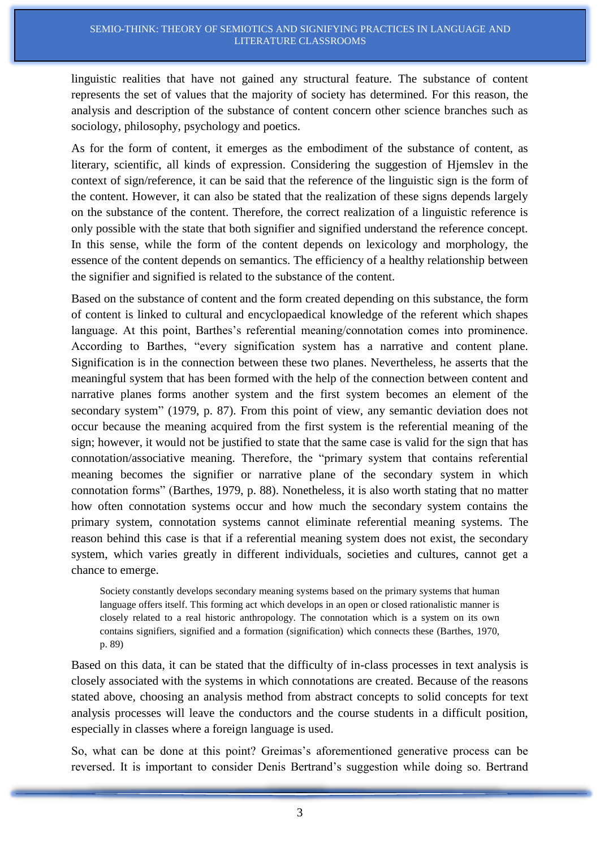linguistic realities that have not gained any structural feature. The substance of content represents the set of values that the majority of society has determined. For this reason, the analysis and description of the substance of content concern other science branches such as sociology, philosophy, psychology and poetics.

As for the form of content, it emerges as the embodiment of the substance of content, as literary, scientific, all kinds of expression. Considering the suggestion of Hjemslev in the context of sign/reference, it can be said that the reference of the linguistic sign is the form of the content. However, it can also be stated that the realization of these signs depends largely on the substance of the content. Therefore, the correct realization of a linguistic reference is only possible with the state that both signifier and signified understand the reference concept. In this sense, while the form of the content depends on lexicology and morphology, the essence of the content depends on semantics. The efficiency of a healthy relationship between the signifier and signified is related to the substance of the content.

Based on the substance of content and the form created depending on this substance, the form of content is linked to cultural and encyclopaedical knowledge of the referent which shapes language. At this point, Barthes's referential meaning/connotation comes into prominence. According to Barthes, "every signification system has a narrative and content plane. Signification is in the connection between these two planes. Nevertheless, he asserts that the meaningful system that has been formed with the help of the connection between content and narrative planes forms another system and the first system becomes an element of the secondary system" (1979, p. 87). From this point of view, any semantic deviation does not occur because the meaning acquired from the first system is the referential meaning of the sign; however, it would not be justified to state that the same case is valid for the sign that has connotation/associative meaning. Therefore, the "primary system that contains referential meaning becomes the signifier or narrative plane of the secondary system in which connotation forms" (Barthes, 1979, p. 88). Nonetheless, it is also worth stating that no matter how often connotation systems occur and how much the secondary system contains the primary system, connotation systems cannot eliminate referential meaning systems. The reason behind this case is that if a referential meaning system does not exist, the secondary system, which varies greatly in different individuals, societies and cultures, cannot get a chance to emerge.

Society constantly develops secondary meaning systems based on the primary systems that human language offers itself. This forming act which develops in an open or closed rationalistic manner is closely related to a real historic anthropology. The connotation which is a system on its own contains signifiers, signified and a formation (signification) which connects these (Barthes, 1970, p. 89)

Based on this data, it can be stated that the difficulty of in-class processes in text analysis is closely associated with the systems in which connotations are created. Because of the reasons stated above, choosing an analysis method from abstract concepts to solid concepts for text analysis processes will leave the conductors and the course students in a difficult position, especially in classes where a foreign language is used.

So, what can be done at this point? Greimas's aforementioned generative process can be reversed. It is important to consider Denis Bertrand's suggestion while doing so. Bertrand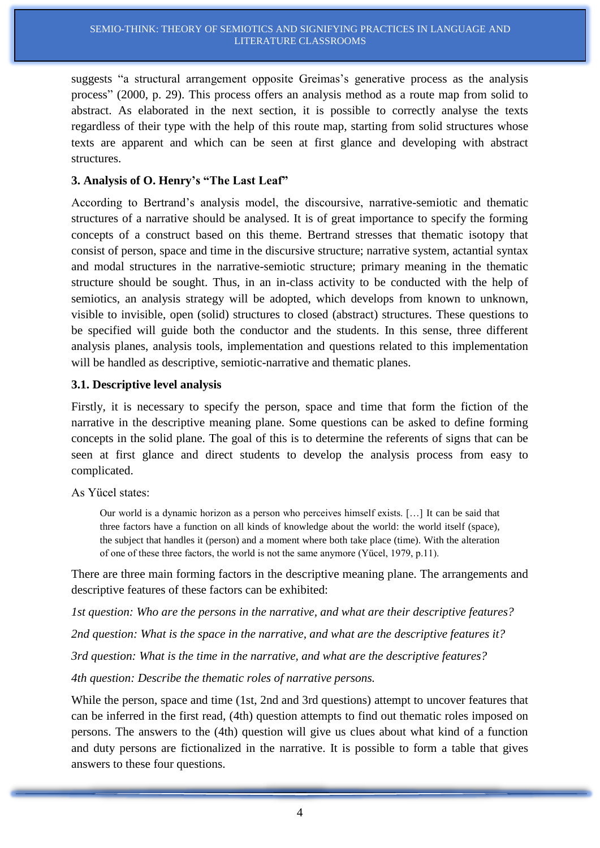suggests "a structural arrangement opposite Greimas's generative process as the analysis process" (2000, p. 29). This process offers an analysis method as a route map from solid to abstract. As elaborated in the next section, it is possible to correctly analyse the texts regardless of their type with the help of this route map, starting from solid structures whose texts are apparent and which can be seen at first glance and developing with abstract structures.

#### **3. Analysis of O. Henry's "The Last Leaf"**

According to Bertrand's analysis model, the discoursive, narrative-semiotic and thematic structures of a narrative should be analysed. It is of great importance to specify the forming concepts of a construct based on this theme. Bertrand stresses that thematic isotopy that consist of person, space and time in the discursive structure; narrative system, actantial syntax and modal structures in the narrative-semiotic structure; primary meaning in the thematic structure should be sought. Thus, in an in-class activity to be conducted with the help of semiotics, an analysis strategy will be adopted, which develops from known to unknown, visible to invisible, open (solid) structures to closed (abstract) structures. These questions to be specified will guide both the conductor and the students. In this sense, three different analysis planes, analysis tools, implementation and questions related to this implementation will be handled as descriptive, semiotic-narrative and thematic planes.

#### **3.1. Descriptive level analysis**

Firstly, it is necessary to specify the person, space and time that form the fiction of the narrative in the descriptive meaning plane. Some questions can be asked to define forming concepts in the solid plane. The goal of this is to determine the referents of signs that can be seen at first glance and direct students to develop the analysis process from easy to complicated.

As Yücel states:

Our world is a dynamic horizon as a person who perceives himself exists. […] It can be said that three factors have a function on all kinds of knowledge about the world: the world itself (space), the subject that handles it (person) and a moment where both take place (time). With the alteration of one of these three factors, the world is not the same anymore (Yücel, 1979, p.11).

There are three main forming factors in the descriptive meaning plane. The arrangements and descriptive features of these factors can be exhibited:

*1st question: Who are the persons in the narrative, and what are their descriptive features?*

*2nd question: What is the space in the narrative, and what are the descriptive features it?*

*3rd question: What is the time in the narrative, and what are the descriptive features?*

*4th question: Describe the thematic roles of narrative persons.*

While the person, space and time (1st, 2nd and 3rd questions) attempt to uncover features that can be inferred in the first read, (4th) question attempts to find out thematic roles imposed on persons. The answers to the (4th) question will give us clues about what kind of a function and duty persons are fictionalized in the narrative. It is possible to form a table that gives answers to these four questions.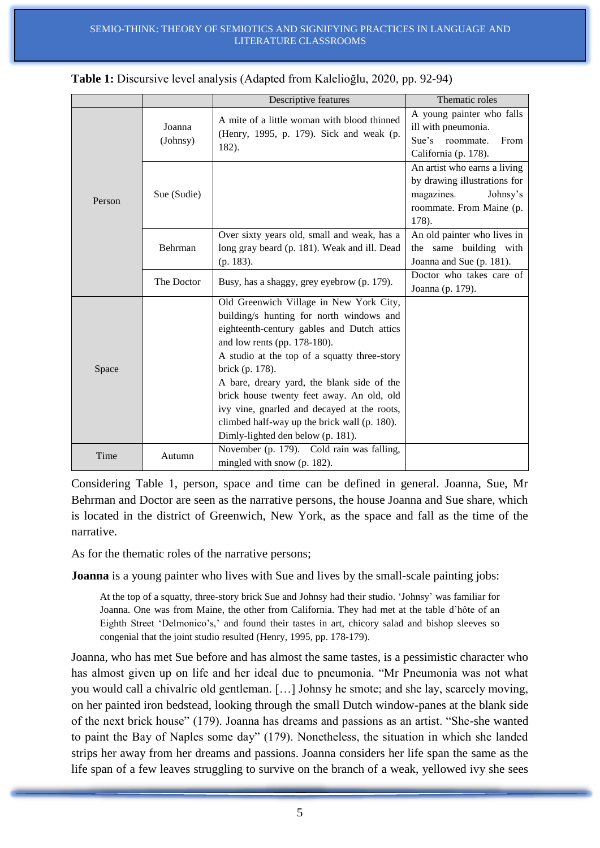|                                                        |                                                                                                          | Descriptive features                                                                                                                                                                                                                                                                                                                                                                                                                                                   | Thematic roles                                                                                                              |
|--------------------------------------------------------|----------------------------------------------------------------------------------------------------------|------------------------------------------------------------------------------------------------------------------------------------------------------------------------------------------------------------------------------------------------------------------------------------------------------------------------------------------------------------------------------------------------------------------------------------------------------------------------|-----------------------------------------------------------------------------------------------------------------------------|
| Joanna<br>(Johnsy)<br>Sue (Sudie)<br>Person<br>Behrman |                                                                                                          | A mite of a little woman with blood thinned<br>(Henry, 1995, p. 179). Sick and weak (p.<br>182).                                                                                                                                                                                                                                                                                                                                                                       | A young painter who falls<br>ill with pneumonia.<br>Sue's<br>roommate.<br>From<br>California (p. 178).                      |
|                                                        |                                                                                                          |                                                                                                                                                                                                                                                                                                                                                                                                                                                                        | An artist who earns a living<br>by drawing illustrations for<br>Johnsy's<br>magazines.<br>roommate. From Maine (p.<br>178). |
|                                                        | Over sixty years old, small and weak, has a<br>long gray beard (p. 181). Weak and ill. Dead<br>(p. 183). | An old painter who lives in<br>the same building with<br>Joanna and Sue (p. 181).                                                                                                                                                                                                                                                                                                                                                                                      |                                                                                                                             |
|                                                        | The Doctor                                                                                               | Busy, has a shaggy, grey eyebrow (p. 179).                                                                                                                                                                                                                                                                                                                                                                                                                             | Doctor who takes care of<br>Joanna (p. 179).                                                                                |
| Space                                                  |                                                                                                          | Old Greenwich Village in New York City,<br>building/s hunting for north windows and<br>eighteenth-century gables and Dutch attics<br>and low rents (pp. $178-180$ ).<br>A studio at the top of a squatty three-story<br>brick (p. 178).<br>A bare, dreary yard, the blank side of the<br>brick house twenty feet away. An old, old<br>ivy vine, gnarled and decayed at the roots,<br>climbed half-way up the brick wall (p. 180).<br>Dimly-lighted den below (p. 181). |                                                                                                                             |
| Time                                                   | Autumn                                                                                                   | November (p. 179). Cold rain was falling,<br>mingled with snow (p. 182).                                                                                                                                                                                                                                                                                                                                                                                               |                                                                                                                             |

| Table 1: Discursive level analysis (Adapted from Kalelioğlu, 2020, pp. 92-94) |  |  |
|-------------------------------------------------------------------------------|--|--|
|                                                                               |  |  |

Considering Table 1, person, space and time can be defined in general. Joanna, Sue, Mr Behrman and Doctor are seen as the narrative persons, the house Joanna and Sue share, which is located in the district of Greenwich, New York, as the space and fall as the time of the narrative.

As for the thematic roles of the narrative persons;

**Joanna** is a young painter who lives with Sue and lives by the small-scale painting jobs:

At the top of a squatty, three-story brick Sue and Johnsy had their studio. 'Johnsy' was familiar for Joanna. One was from Maine, the other from California. They had met at the table d'hôte of an Eighth Street 'Delmonico's,' and found their tastes in art, chicory salad and bishop sleeves so congenial that the joint studio resulted (Henry, 1995, pp. 178-179).

Joanna, who has met Sue before and has almost the same tastes, is a pessimistic character who has almost given up on life and her ideal due to pneumonia. "Mr Pneumonia was not what you would call a chivalric old gentleman. […] Johnsy he smote; and she lay, scarcely moving, on her painted iron bedstead, looking through the small Dutch window-panes at the blank side of the next brick house" (179). Joanna has dreams and passions as an artist. "She-she wanted to paint the Bay of Naples some day" (179). Nonetheless, the situation in which she landed strips her away from her dreams and passions. Joanna considers her life span the same as the life span of a few leaves struggling to survive on the branch of a weak, yellowed ivy she sees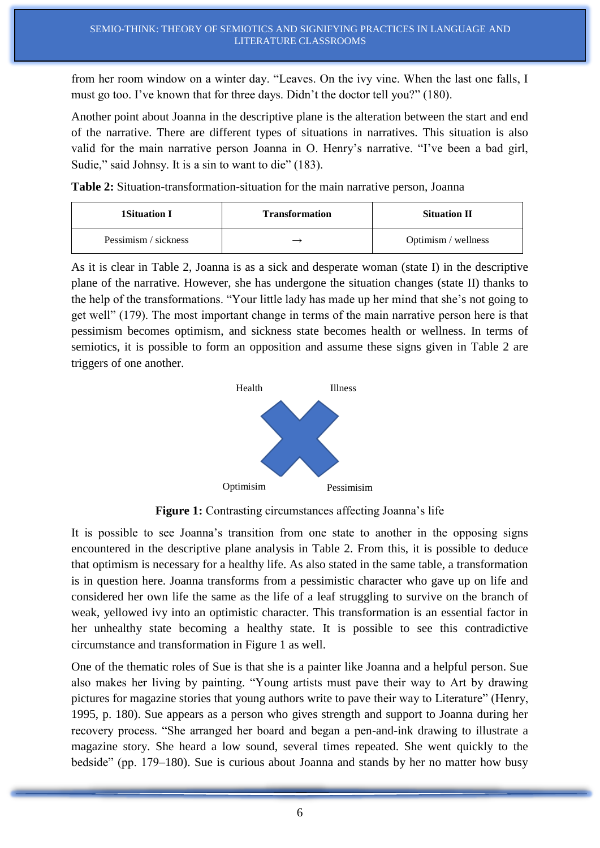from her room window on a winter day. "Leaves. On the ivy vine. When the last one falls, I must go too. I've known that for three days. Didn't the doctor tell you?" (180).

Another point about Joanna in the descriptive plane is the alteration between the start and end of the narrative. There are different types of situations in narratives. This situation is also valid for the main narrative person Joanna in O. Henry's narrative. "I've been a bad girl, Sudie," said Johnsy. It is a sin to want to die" (183).

**Table 2:** Situation-transformation-situation for the main narrative person, Joanna

| <b>1Situation I</b>  | <b>Transformation</b> | <b>Situation II</b> |
|----------------------|-----------------------|---------------------|
| Pessimism / sickness |                       | Optimism / wellness |

As it is clear in Table 2, Joanna is as a sick and desperate woman (state I) in the descriptive plane of the narrative. However, she has undergone the situation changes (state II) thanks to the help of the transformations. "Your little lady has made up her mind that she's not going to get well" (179). The most important change in terms of the main narrative person here is that pessimism becomes optimism, and sickness state becomes health or wellness. In terms of semiotics, it is possible to form an opposition and assume these signs given in Table 2 are triggers of one another.



**Figure 1:** Contrasting circumstances affecting Joanna's life

It is possible to see Joanna's transition from one state to another in the opposing signs encountered in the descriptive plane analysis in Table 2. From this, it is possible to deduce that optimism is necessary for a healthy life. As also stated in the same table, a transformation is in question here. Joanna transforms from a pessimistic character who gave up on life and considered her own life the same as the life of a leaf struggling to survive on the branch of weak, yellowed ivy into an optimistic character. This transformation is an essential factor in her unhealthy state becoming a healthy state. It is possible to see this contradictive circumstance and transformation in Figure 1 as well.

One of the thematic roles of Sue is that she is a painter like Joanna and a helpful person. Sue also makes her living by painting. "Young artists must pave their way to Art by drawing pictures for magazine stories that young authors write to pave their way to Literature" (Henry, 1995, p. 180). Sue appears as a person who gives strength and support to Joanna during her recovery process. "She arranged her board and began a pen-and-ink drawing to illustrate a magazine story. She heard a low sound, several times repeated. She went quickly to the bedside" (pp. 179–180). Sue is curious about Joanna and stands by her no matter how busy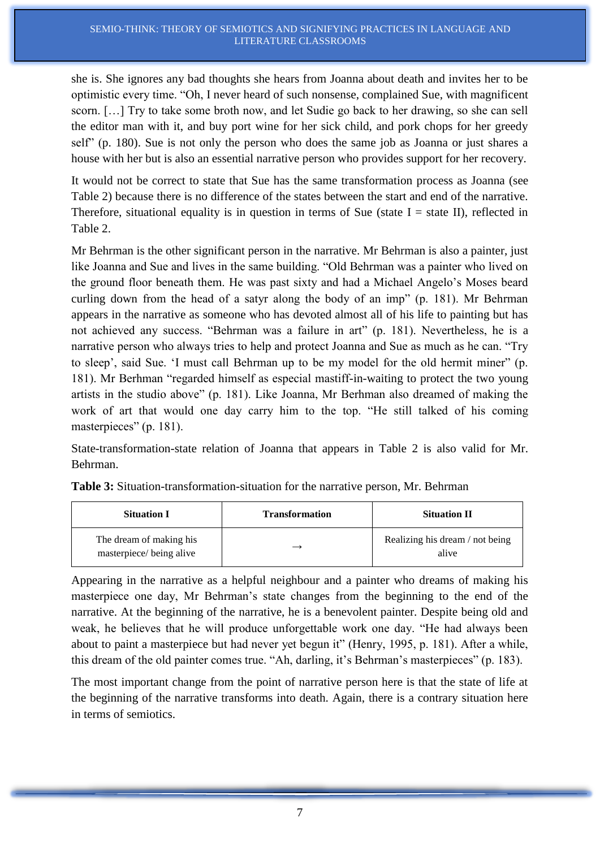she is. She ignores any bad thoughts she hears from Joanna about death and invites her to be optimistic every time. "Oh, I never heard of such nonsense, complained Sue, with magnificent scorn. […] Try to take some broth now, and let Sudie go back to her drawing, so she can sell the editor man with it, and buy port wine for her sick child, and pork chops for her greedy self" (p. 180). Sue is not only the person who does the same job as Joanna or just shares a house with her but is also an essential narrative person who provides support for her recovery.

It would not be correct to state that Sue has the same transformation process as Joanna (see Table 2) because there is no difference of the states between the start and end of the narrative. Therefore, situational equality is in question in terms of Sue (state  $I = state II$ ), reflected in Table 2.

Mr Behrman is the other significant person in the narrative. Mr Behrman is also a painter, just like Joanna and Sue and lives in the same building. "Old Behrman was a painter who lived on the ground floor beneath them. He was past sixty and had a Michael Angelo's Moses beard curling down from the head of a satyr along the body of an imp" (p. 181). Mr Behrman appears in the narrative as someone who has devoted almost all of his life to painting but has not achieved any success. "Behrman was a failure in art" (p. 181). Nevertheless, he is a narrative person who always tries to help and protect Joanna and Sue as much as he can. "Try to sleep', said Sue. 'I must call Behrman up to be my model for the old hermit miner" (p. 181). Mr Berhman "regarded himself as especial mastiff-in-waiting to protect the two young artists in the studio above" (p. 181). Like Joanna, Mr Berhman also dreamed of making the work of art that would one day carry him to the top. "He still talked of his coming masterpieces" (p. 181).

State-transformation-state relation of Joanna that appears in Table 2 is also valid for Mr. Behrman.

| <b>Situation I</b>                                 | <b>Transformation</b> | <b>Situation II</b>                      |
|----------------------------------------------------|-----------------------|------------------------------------------|
| The dream of making his<br>masterpiece/being alive |                       | Realizing his dream / not being<br>alive |

**Table 3:** Situation-transformation-situation for the narrative person, Mr. Behrman

Appearing in the narrative as a helpful neighbour and a painter who dreams of making his masterpiece one day, Mr Behrman's state changes from the beginning to the end of the narrative. At the beginning of the narrative, he is a benevolent painter. Despite being old and weak, he believes that he will produce unforgettable work one day. "He had always been about to paint a masterpiece but had never yet begun it" (Henry, 1995, p. 181). After a while, this dream of the old painter comes true. "Ah, darling, it's Behrman's masterpieces" (p. 183).

The most important change from the point of narrative person here is that the state of life at the beginning of the narrative transforms into death. Again, there is a contrary situation here in terms of semiotics.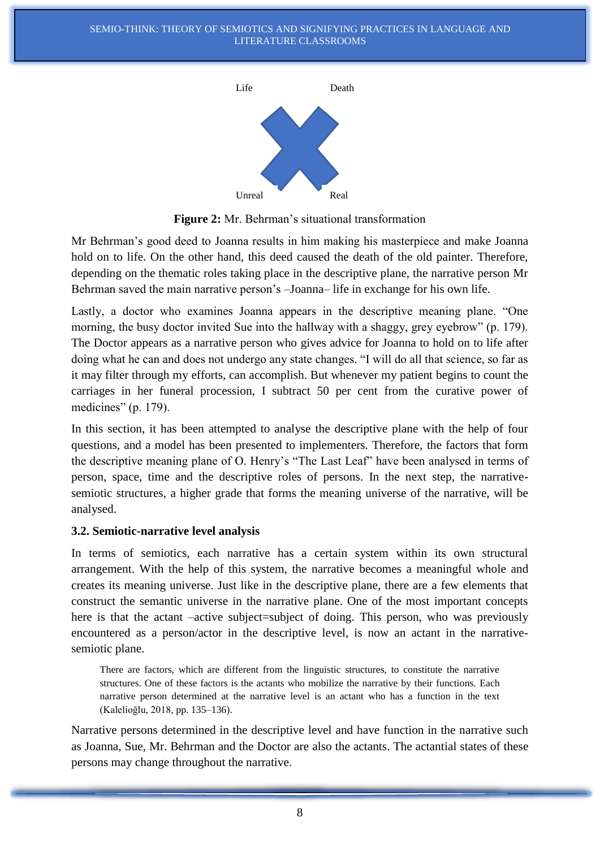

**Figure 2:** Mr. Behrman's situational transformation

Mr Behrman's good deed to Joanna results in him making his masterpiece and make Joanna hold on to life. On the other hand, this deed caused the death of the old painter. Therefore, depending on the thematic roles taking place in the descriptive plane, the narrative person Mr Behrman saved the main narrative person's –Joanna– life in exchange for his own life.

Lastly, a doctor who examines Joanna appears in the descriptive meaning plane. "One morning, the busy doctor invited Sue into the hallway with a shaggy, grey eyebrow" (p. 179). The Doctor appears as a narrative person who gives advice for Joanna to hold on to life after doing what he can and does not undergo any state changes. "I will do all that science, so far as it may filter through my efforts, can accomplish. But whenever my patient begins to count the carriages in her funeral procession, I subtract 50 per cent from the curative power of medicines" (p. 179).

In this section, it has been attempted to analyse the descriptive plane with the help of four questions, and a model has been presented to implementers. Therefore, the factors that form the descriptive meaning plane of O. Henry's "The Last Leaf" have been analysed in terms of person, space, time and the descriptive roles of persons. In the next step, the narrativesemiotic structures, a higher grade that forms the meaning universe of the narrative, will be analysed.

#### **3.2. Semiotic-narrative level analysis**

In terms of semiotics, each narrative has a certain system within its own structural arrangement. With the help of this system, the narrative becomes a meaningful whole and creates its meaning universe. Just like in the descriptive plane, there are a few elements that construct the semantic universe in the narrative plane. One of the most important concepts here is that the actant –active subject=subject of doing. This person, who was previously encountered as a person/actor in the descriptive level, is now an actant in the narrativesemiotic plane.

There are factors, which are different from the linguistic structures, to constitute the narrative structures. One of these factors is the actants who mobilize the narrative by their functions. Each narrative person determined at the narrative level is an actant who has a function in the text (Kalelioğlu, 2018, pp. 135–136).

Narrative persons determined in the descriptive level and have function in the narrative such as Joanna, Sue, Mr. Behrman and the Doctor are also the actants. The actantial states of these persons may change throughout the narrative.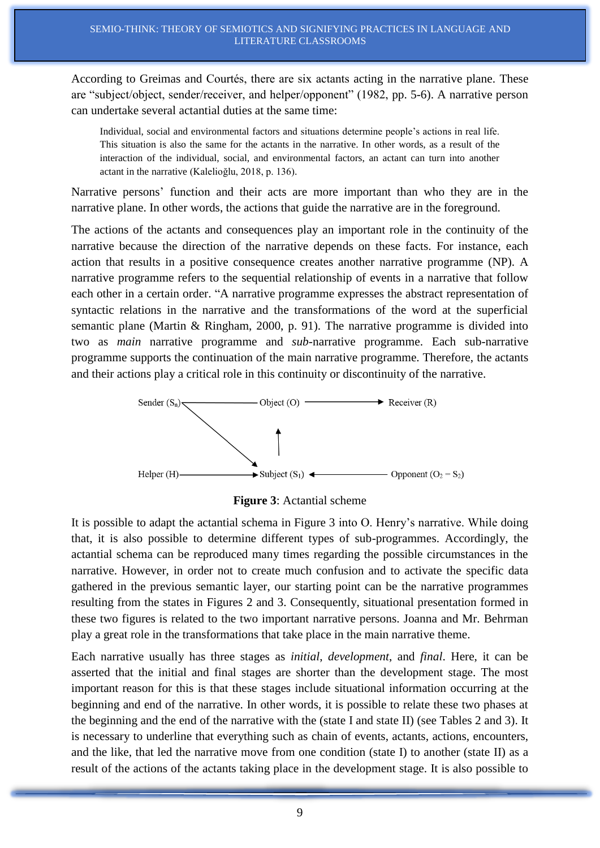According to Greimas and Courtés, there are six actants acting in the narrative plane. These are "subject/object, sender/receiver, and helper/opponent" (1982, pp. 5-6). A narrative person can undertake several actantial duties at the same time:

Individual, social and environmental factors and situations determine people's actions in real life. This situation is also the same for the actants in the narrative. In other words, as a result of the interaction of the individual, social, and environmental factors, an actant can turn into another actant in the narrative (Kalelioğlu, 2018, p. 136).

Narrative persons' function and their acts are more important than who they are in the narrative plane. In other words, the actions that guide the narrative are in the foreground.

The actions of the actants and consequences play an important role in the continuity of the narrative because the direction of the narrative depends on these facts. For instance, each action that results in a positive consequence creates another narrative programme (NP). A narrative programme refers to the sequential relationship of events in a narrative that follow each other in a certain order. "A narrative programme expresses the abstract representation of syntactic relations in the narrative and the transformations of the word at the superficial semantic plane (Martin & Ringham, 2000, p. 91). The narrative programme is divided into two as *main* narrative programme and *sub*-narrative programme. Each sub-narrative programme supports the continuation of the main narrative programme. Therefore, the actants and their actions play a critical role in this continuity or discontinuity of the narrative.



**Figure 3**: Actantial scheme

It is possible to adapt the actantial schema in Figure 3 into O. Henry's narrative. While doing that, it is also possible to determine different types of sub-programmes. Accordingly, the actantial schema can be reproduced many times regarding the possible circumstances in the narrative. However, in order not to create much confusion and to activate the specific data gathered in the previous semantic layer, our starting point can be the narrative programmes resulting from the states in Figures 2 and 3. Consequently, situational presentation formed in these two figures is related to the two important narrative persons. Joanna and Mr. Behrman play a great role in the transformations that take place in the main narrative theme.

Each narrative usually has three stages as *initial*, *development*, and *final*. Here, it can be asserted that the initial and final stages are shorter than the development stage. The most important reason for this is that these stages include situational information occurring at the beginning and end of the narrative. In other words, it is possible to relate these two phases at the beginning and the end of the narrative with the (state I and state II) (see Tables 2 and 3). It is necessary to underline that everything such as chain of events, actants, actions, encounters, and the like, that led the narrative move from one condition (state I) to another (state II) as a result of the actions of the actants taking place in the development stage. It is also possible to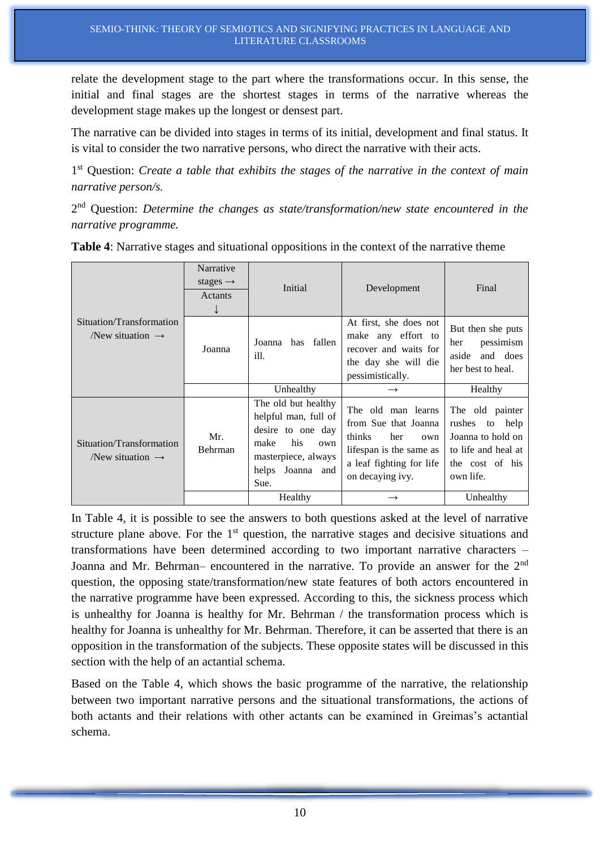relate the development stage to the part where the transformations occur. In this sense, the initial and final stages are the shortest stages in terms of the narrative whereas the development stage makes up the longest or densest part.

The narrative can be divided into stages in terms of its initial, development and final status. It is vital to consider the two narrative persons, who direct the narrative with their acts.

1 st Question: *Create a table that exhibits the stages of the narrative in the context of main narrative person/s.*

2 nd Question: *Determine the changes as state/transformation/new state encountered in the narrative programme.* 

|                                                         | Narrative<br>stages $\rightarrow$<br>Actants | Initial                                                                                                                                   | Development                                                                                                                                   | Final                                                                                                               |
|---------------------------------------------------------|----------------------------------------------|-------------------------------------------------------------------------------------------------------------------------------------------|-----------------------------------------------------------------------------------------------------------------------------------------------|---------------------------------------------------------------------------------------------------------------------|
| Situation/Transformation<br>New situation $\rightarrow$ | Joanna                                       | has fallen<br>Joanna<br>ill.                                                                                                              | At first, she does not<br>make any effort to<br>recover and waits for<br>the day she will die<br>pessimistically.                             | But then she puts<br>pessimism<br>her<br>aside<br>and does<br>her best to heal.                                     |
|                                                         |                                              | Unhealthy                                                                                                                                 | $\rightarrow$                                                                                                                                 | Healthy                                                                                                             |
|                                                         |                                              |                                                                                                                                           |                                                                                                                                               |                                                                                                                     |
| Situation/Transformation<br>New situation $\rightarrow$ | Mr.<br><b>Behrman</b>                        | The old but healthy<br>helpful man, full of<br>desire to one day<br>his<br>make<br>own<br>masterpiece, always<br>helps Joanna and<br>Sue. | The old man learns<br>from Sue that Joanna<br>thinks<br>her<br>own<br>lifespan is the same as<br>a leaf fighting for life<br>on decaying ivy. | The old painter<br>rushes<br>to<br>help<br>Joanna to hold on<br>to life and heal at<br>the cost of his<br>own life. |

**Table 4**: Narrative stages and situational oppositions in the context of the narrative theme

In Table 4, it is possible to see the answers to both questions asked at the level of narrative structure plane above. For the  $1<sup>st</sup>$  question, the narrative stages and decisive situations and transformations have been determined according to two important narrative characters – Joanna and Mr. Behrman– encountered in the narrative. To provide an answer for the 2<sup>nd</sup> question, the opposing state/transformation/new state features of both actors encountered in the narrative programme have been expressed. According to this, the sickness process which is unhealthy for Joanna is healthy for Mr. Behrman / the transformation process which is healthy for Joanna is unhealthy for Mr. Behrman. Therefore, it can be asserted that there is an opposition in the transformation of the subjects. These opposite states will be discussed in this section with the help of an actantial schema.

Based on the Table 4, which shows the basic programme of the narrative, the relationship between two important narrative persons and the situational transformations, the actions of both actants and their relations with other actants can be examined in Greimas's actantial schema.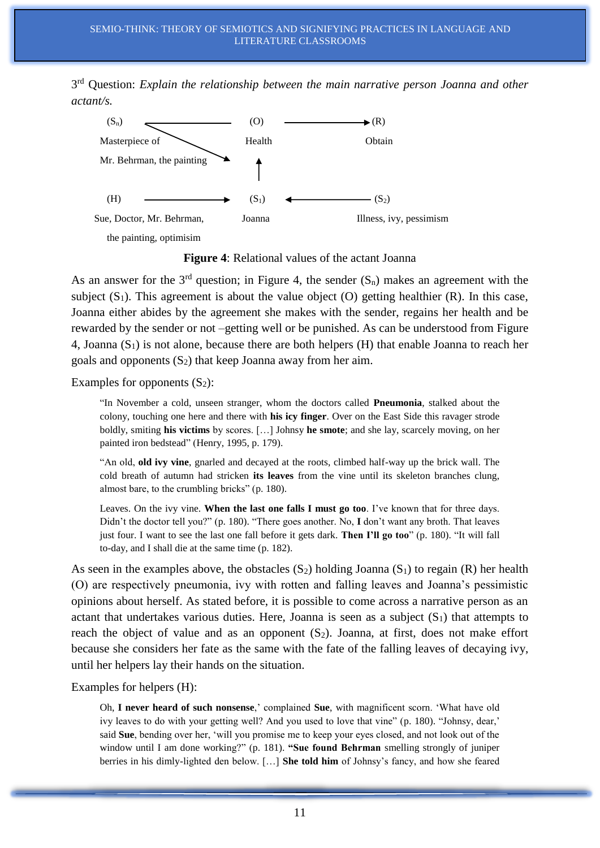3 rd Question: *Explain the relationship between the main narrative person Joanna and other actant/s.*



the painting, optimisim

**Figure 4**: Relational values of the actant Joanna

As an answer for the  $3<sup>rd</sup>$  question; in Figure 4, the sender  $(S_n)$  makes an agreement with the subject  $(S_1)$ . This agreement is about the value object  $(O)$  getting healthier  $(R)$ . In this case, Joanna either abides by the agreement she makes with the sender, regains her health and be rewarded by the sender or not –getting well or be punished. As can be understood from Figure 4, Joanna  $(S_1)$  is not alone, because there are both helpers  $(H)$  that enable Joanna to reach her goals and opponents  $(S_2)$  that keep Joanna away from her aim.

Examples for opponents  $(S_2)$ :

"In November a cold, unseen stranger, whom the doctors called **Pneumonia**, stalked about the colony, touching one here and there with **his icy finger**. Over on the East Side this ravager strode boldly, smiting **his victims** by scores. […] Johnsy **he smote**; and she lay, scarcely moving, on her painted iron bedstead" (Henry, 1995, p. 179).

"An old, **old ivy vine**, gnarled and decayed at the roots, climbed half-way up the brick wall. The cold breath of autumn had stricken **its leaves** from the vine until its skeleton branches clung, almost bare, to the crumbling bricks" (p. 180).

Leaves. On the ivy vine. **When the last one falls I must go too**. I've known that for three days. Didn't the doctor tell you?" (p. 180). "There goes another. No, **I** don't want any broth. That leaves just four. I want to see the last one fall before it gets dark. **Then I'll go too**" (p. 180). "It will fall to-day, and I shall die at the same time (p. 182).

As seen in the examples above, the obstacles  $(S_2)$  holding Joanna  $(S_1)$  to regain  $(R)$  her health (O) are respectively pneumonia, ivy with rotten and falling leaves and Joanna's pessimistic opinions about herself. As stated before, it is possible to come across a narrative person as an actant that undertakes various duties. Here, Joanna is seen as a subject  $(S_1)$  that attempts to reach the object of value and as an opponent  $(S_2)$ . Joanna, at first, does not make effort because she considers her fate as the same with the fate of the falling leaves of decaying ivy, until her helpers lay their hands on the situation.

Examples for helpers (H):

Oh, **I never heard of such nonsense**,' complained **Sue**, with magnificent scorn. 'What have old ivy leaves to do with your getting well? And you used to love that vine" (p. 180). "Johnsy, dear,' said **Sue**, bending over her, 'will you promise me to keep your eyes closed, and not look out of the window until I am done working?" (p. 181). **"Sue found Behrman** smelling strongly of juniper berries in his dimly-lighted den below. […] **She told him** of Johnsy's fancy, and how she feared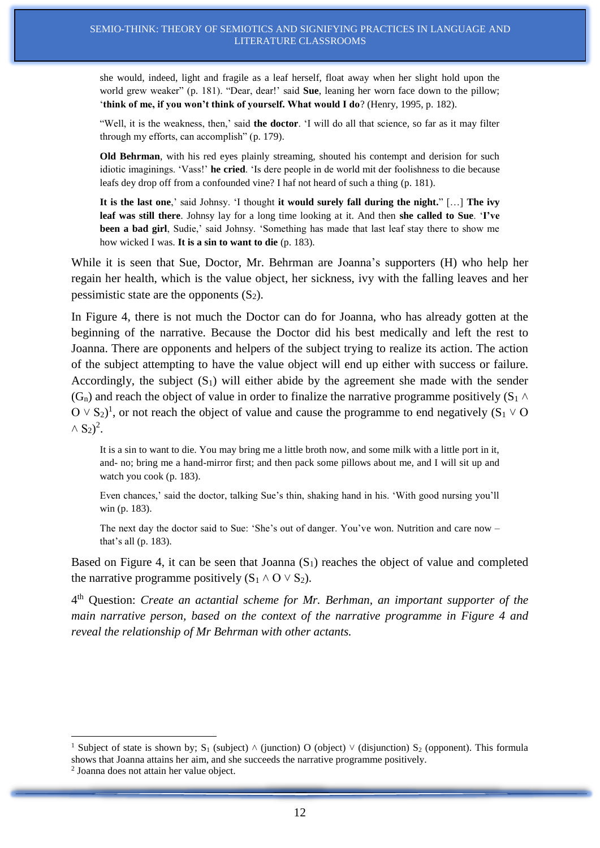she would, indeed, light and fragile as a leaf herself, float away when her slight hold upon the world grew weaker" (p. 181). "Dear, dear!' said **Sue**, leaning her worn face down to the pillow; '**think of me, if you won't think of yourself. What would I do**? (Henry, 1995, p. 182).

"Well, it is the weakness, then,' said **the doctor**. 'I will do all that science, so far as it may filter through my efforts, can accomplish" (p. 179).

**Old Behrman**, with his red eyes plainly streaming, shouted his contempt and derision for such idiotic imaginings. 'Vass!' **he cried**. 'Is dere people in de world mit der foolishness to die because leafs dey drop off from a confounded vine? I haf not heard of such a thing (p. 181).

**It is the last one**,' said Johnsy. 'I thought **it would surely fall during the night.**" […] **The ivy leaf was still there**. Johnsy lay for a long time looking at it. And then **she called to Sue**. '**I've been a bad girl**, Sudie,' said Johnsy. 'Something has made that last leaf stay there to show me how wicked I was. **It is a sin to want to die** (p. 183).

While it is seen that Sue, Doctor, Mr. Behrman are Joanna's supporters (H) who help her regain her health, which is the value object, her sickness, ivy with the falling leaves and her pessimistic state are the opponents  $(S_2)$ .

In Figure 4, there is not much the Doctor can do for Joanna, who has already gotten at the beginning of the narrative. Because the Doctor did his best medically and left the rest to Joanna. There are opponents and helpers of the subject trying to realize its action. The action of the subject attempting to have the value object will end up either with success or failure. Accordingly, the subject  $(S_1)$  will either abide by the agreement she made with the sender  $(G_n)$  and reach the object of value in order to finalize the narrative programme positively  $(S_1 \wedge$  $O \vee S_2$ <sup>1</sup>, or not reach the object of value and cause the programme to end negatively (S<sub>1</sub>  $\vee$  O  $\wedge$  S<sub>2</sub>)<sup>2</sup>.

It is a sin to want to die. You may bring me a little broth now, and some milk with a little port in it, and- no; bring me a hand-mirror first; and then pack some pillows about me, and I will sit up and watch you cook (p. 183).

Even chances,' said the doctor, talking Sue's thin, shaking hand in his. 'With good nursing you'll win (p. 183).

The next day the doctor said to Sue: 'She's out of danger. You've won. Nutrition and care now – that's all (p. 183).

Based on Figure 4, it can be seen that Joanna  $(S_1)$  reaches the object of value and completed the narrative programme positively  $(S_1 \wedge O \vee S_2)$ .

4 th Question: *Create an actantial scheme for Mr. Berhman, an important supporter of the main narrative person, based on the context of the narrative programme in Figure 4 and reveal the relationship of Mr Behrman with other actants.*

1

<sup>&</sup>lt;sup>1</sup> Subject of state is shown by; S<sub>1</sub> (subject)  $\land$  (junction) O (object)  $\lor$  (disjunction) S<sub>2</sub> (opponent). This formula shows that Joanna attains her aim, and she succeeds the narrative programme positively.

<sup>&</sup>lt;sup>2</sup> Joanna does not attain her value object.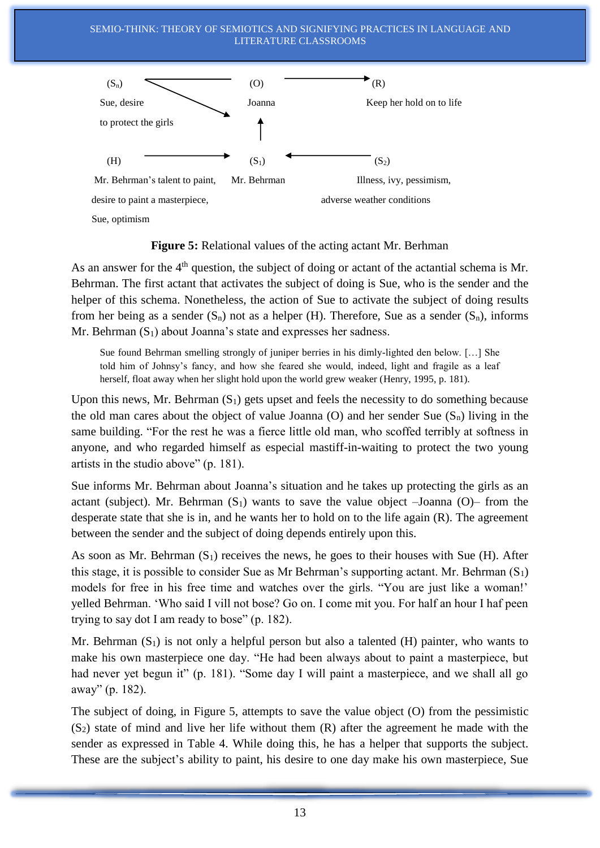#### SEMIO-THINK: THEORY OF SEMIOTICS AND SIGNIFYING PRACTICES IN LANGUAGE AND LITERATURE CLASSROOMS



**Figure 5:** Relational values of the acting actant Mr. Berhman

As an answer for the  $4<sup>th</sup>$  question, the subject of doing or actant of the actantial schema is Mr. Behrman. The first actant that activates the subject of doing is Sue, who is the sender and the helper of this schema. Nonetheless, the action of Sue to activate the subject of doing results from her being as a sender  $(S_n)$  not as a helper (H). Therefore, Sue as a sender  $(S_n)$ , informs Mr. Behrman  $(S_1)$  about Joanna's state and expresses her sadness.

Sue found Behrman smelling strongly of juniper berries in his dimly-lighted den below. […] She told him of Johnsy's fancy, and how she feared she would, indeed, light and fragile as a leaf herself, float away when her slight hold upon the world grew weaker (Henry, 1995, p. 181).

Upon this news, Mr. Behrman  $(S_1)$  gets upset and feels the necessity to do something because the old man cares about the object of value Joanna (O) and her sender Sue  $(S_n)$  living in the same building. "For the rest he was a fierce little old man, who scoffed terribly at softness in anyone, and who regarded himself as especial mastiff-in-waiting to protect the two young artists in the studio above" (p. 181).

Sue informs Mr. Behrman about Joanna's situation and he takes up protecting the girls as an actant (subject). Mr. Behrman  $(S_1)$  wants to save the value object  $-Joanna (O)$ – from the desperate state that she is in, and he wants her to hold on to the life again (R). The agreement between the sender and the subject of doing depends entirely upon this.

As soon as Mr. Behrman  $(S_1)$  receives the news, he goes to their houses with Sue (H). After this stage, it is possible to consider Sue as Mr Behrman's supporting actant. Mr. Behrman  $(S_1)$ models for free in his free time and watches over the girls. "You are just like a woman!' yelled Behrman. 'Who said I vill not bose? Go on. I come mit you. For half an hour I haf peen trying to say dot I am ready to bose" (p. 182).

Mr. Behrman  $(S_1)$  is not only a helpful person but also a talented  $(H)$  painter, who wants to make his own masterpiece one day. "He had been always about to paint a masterpiece, but had never yet begun it" (p. 181). "Some day I will paint a masterpiece, and we shall all go away" (p. 182).

The subject of doing, in Figure 5, attempts to save the value object (O) from the pessimistic  $(S<sub>2</sub>)$  state of mind and live her life without them  $(R)$  after the agreement he made with the sender as expressed in Table 4. While doing this, he has a helper that supports the subject. These are the subject's ability to paint, his desire to one day make his own masterpiece, Sue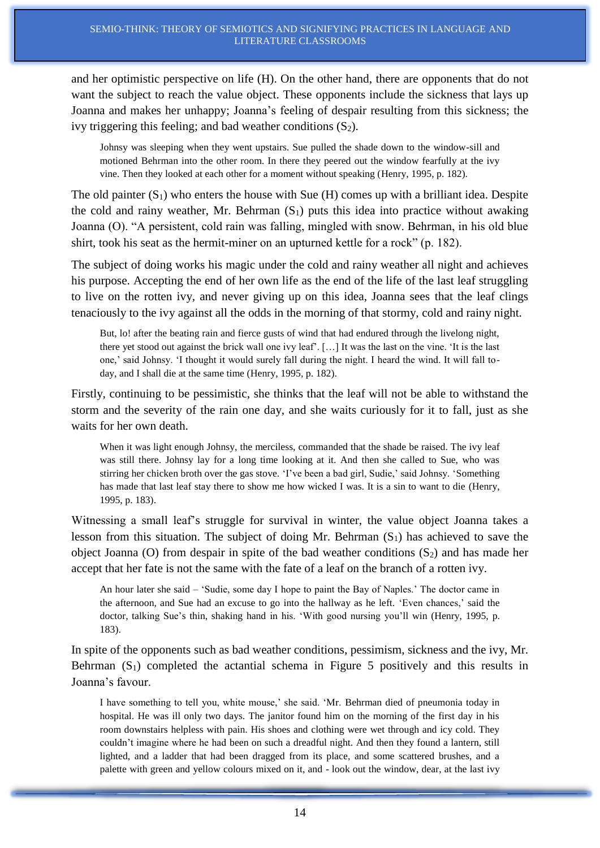and her optimistic perspective on life (H). On the other hand, there are opponents that do not want the subject to reach the value object. These opponents include the sickness that lays up Joanna and makes her unhappy; Joanna's feeling of despair resulting from this sickness; the ivy triggering this feeling; and bad weather conditions  $(S_2)$ .

Johnsy was sleeping when they went upstairs. Sue pulled the shade down to the window-sill and motioned Behrman into the other room. In there they peered out the window fearfully at the ivy vine. Then they looked at each other for a moment without speaking (Henry, 1995, p. 182).

The old painter  $(S_1)$  who enters the house with Sue (H) comes up with a brilliant idea. Despite the cold and rainy weather, Mr. Behrman  $(S_1)$  puts this idea into practice without awaking Joanna (O). "A persistent, cold rain was falling, mingled with snow. Behrman, in his old blue shirt, took his seat as the hermit-miner on an upturned kettle for a rock" (p. 182).

The subject of doing works his magic under the cold and rainy weather all night and achieves his purpose. Accepting the end of her own life as the end of the life of the last leaf struggling to live on the rotten ivy, and never giving up on this idea, Joanna sees that the leaf clings tenaciously to the ivy against all the odds in the morning of that stormy, cold and rainy night.

But, lo! after the beating rain and fierce gusts of wind that had endured through the livelong night, there yet stood out against the brick wall one ivy leaf'. […] It was the last on the vine. 'It is the last one,' said Johnsy. 'I thought it would surely fall during the night. I heard the wind. It will fall today, and I shall die at the same time (Henry, 1995, p. 182).

Firstly, continuing to be pessimistic, she thinks that the leaf will not be able to withstand the storm and the severity of the rain one day, and she waits curiously for it to fall, just as she waits for her own death.

When it was light enough Johnsy, the merciless, commanded that the shade be raised. The ivy leaf was still there. Johnsy lay for a long time looking at it. And then she called to Sue, who was stirring her chicken broth over the gas stove. 'I've been a bad girl, Sudie,' said Johnsy. 'Something has made that last leaf stay there to show me how wicked I was. It is a sin to want to die (Henry, 1995, p. 183).

Witnessing a small leaf's struggle for survival in winter, the value object Joanna takes a lesson from this situation. The subject of doing Mr. Behrman  $(S_1)$  has achieved to save the object Joanna (O) from despair in spite of the bad weather conditions  $(S_2)$  and has made her accept that her fate is not the same with the fate of a leaf on the branch of a rotten ivy.

An hour later she said – 'Sudie, some day I hope to paint the Bay of Naples.' The doctor came in the afternoon, and Sue had an excuse to go into the hallway as he left. 'Even chances,' said the doctor, talking Sue's thin, shaking hand in his. 'With good nursing you'll win (Henry, 1995, p. 183).

In spite of the opponents such as bad weather conditions, pessimism, sickness and the ivy, Mr. Behrman  $(S_1)$  completed the actantial schema in Figure 5 positively and this results in Joanna's favour.

I have something to tell you, white mouse,' she said. 'Mr. Behrman died of pneumonia today in hospital. He was ill only two days. The janitor found him on the morning of the first day in his room downstairs helpless with pain. His shoes and clothing were wet through and icy cold. They couldn't imagine where he had been on such a dreadful night. And then they found a lantern, still lighted, and a ladder that had been dragged from its place, and some scattered brushes, and a palette with green and yellow colours mixed on it, and - look out the window, dear, at the last ivy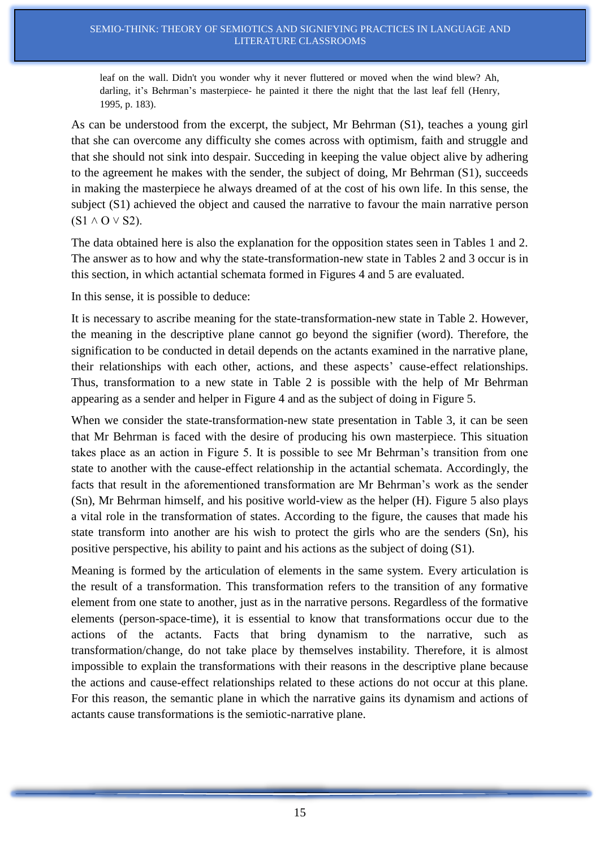leaf on the wall. Didn't you wonder why it never fluttered or moved when the wind blew? Ah, darling, it's Behrman's masterpiece- he painted it there the night that the last leaf fell (Henry, 1995, p. 183).

As can be understood from the excerpt, the subject, Mr Behrman (S1), teaches a young girl that she can overcome any difficulty she comes across with optimism, faith and struggle and that she should not sink into despair. Succeding in keeping the value object alive by adhering to the agreement he makes with the sender, the subject of doing, Mr Behrman (S1), succeeds in making the masterpiece he always dreamed of at the cost of his own life. In this sense, the subject (S1) achieved the object and caused the narrative to favour the main narrative person  $(S1 \wedge O \vee S2)$ .

The data obtained here is also the explanation for the opposition states seen in Tables 1 and 2. The answer as to how and why the state-transformation-new state in Tables 2 and 3 occur is in this section, in which actantial schemata formed in Figures 4 and 5 are evaluated.

In this sense, it is possible to deduce:

It is necessary to ascribe meaning for the state-transformation-new state in Table 2. However, the meaning in the descriptive plane cannot go beyond the signifier (word). Therefore, the signification to be conducted in detail depends on the actants examined in the narrative plane, their relationships with each other, actions, and these aspects' cause-effect relationships. Thus, transformation to a new state in Table 2 is possible with the help of Mr Behrman appearing as a sender and helper in Figure 4 and as the subject of doing in Figure 5.

When we consider the state-transformation-new state presentation in Table 3, it can be seen that Mr Behrman is faced with the desire of producing his own masterpiece. This situation takes place as an action in Figure 5. It is possible to see Mr Behrman's transition from one state to another with the cause-effect relationship in the actantial schemata. Accordingly, the facts that result in the aforementioned transformation are Mr Behrman's work as the sender (Sn), Mr Behrman himself, and his positive world-view as the helper (H). Figure 5 also plays a vital role in the transformation of states. According to the figure, the causes that made his state transform into another are his wish to protect the girls who are the senders (Sn), his positive perspective, his ability to paint and his actions as the subject of doing (S1).

Meaning is formed by the articulation of elements in the same system. Every articulation is the result of a transformation. This transformation refers to the transition of any formative element from one state to another, just as in the narrative persons. Regardless of the formative elements (person-space-time), it is essential to know that transformations occur due to the actions of the actants. Facts that bring dynamism to the narrative, such as transformation/change, do not take place by themselves instability. Therefore, it is almost impossible to explain the transformations with their reasons in the descriptive plane because the actions and cause-effect relationships related to these actions do not occur at this plane. For this reason, the semantic plane in which the narrative gains its dynamism and actions of actants cause transformations is the semiotic-narrative plane.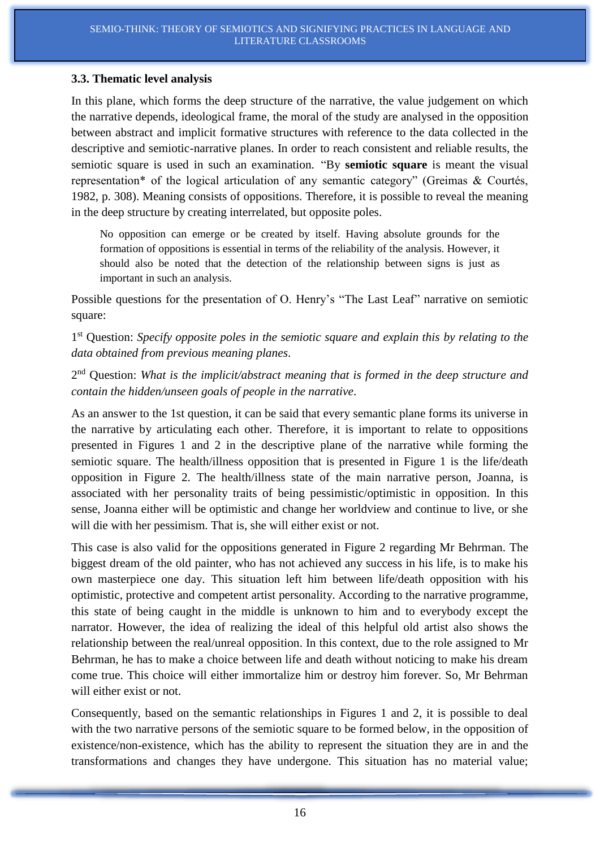#### **3.3. Thematic level analysis**

In this plane, which forms the deep structure of the narrative, the value judgement on which the narrative depends, ideological frame, the moral of the study are analysed in the opposition between abstract and implicit formative structures with reference to the data collected in the descriptive and semiotic-narrative planes. In order to reach consistent and reliable results, the semiotic square is used in such an examination. "By **semiotic square** is meant the visual representation\* of the logical articulation of any semantic category" (Greimas & Courtés, 1982, p. 308). Meaning consists of oppositions. Therefore, it is possible to reveal the meaning in the deep structure by creating interrelated, but opposite poles.

No opposition can emerge or be created by itself. Having absolute grounds for the formation of oppositions is essential in terms of the reliability of the analysis. However, it should also be noted that the detection of the relationship between signs is just as important in such an analysis.

Possible questions for the presentation of O. Henry's "The Last Leaf" narrative on semiotic square:

1<sup>st</sup> Question: *Specify opposite poles in the semiotic square and explain this by relating to the data obtained from previous meaning planes*.

2 nd Question: *What is the implicit/abstract meaning that is formed in the deep structure and contain the hidden/unseen goals of people in the narrative*.

As an answer to the 1st question, it can be said that every semantic plane forms its universe in the narrative by articulating each other. Therefore, it is important to relate to oppositions presented in Figures 1 and 2 in the descriptive plane of the narrative while forming the semiotic square. The health/illness opposition that is presented in Figure 1 is the life/death opposition in Figure 2. The health/illness state of the main narrative person, Joanna, is associated with her personality traits of being pessimistic/optimistic in opposition. In this sense, Joanna either will be optimistic and change her worldview and continue to live, or she will die with her pessimism. That is, she will either exist or not.

This case is also valid for the oppositions generated in Figure 2 regarding Mr Behrman. The biggest dream of the old painter, who has not achieved any success in his life, is to make his own masterpiece one day. This situation left him between life/death opposition with his optimistic, protective and competent artist personality. According to the narrative programme, this state of being caught in the middle is unknown to him and to everybody except the narrator. However, the idea of realizing the ideal of this helpful old artist also shows the relationship between the real/unreal opposition. In this context, due to the role assigned to Mr Behrman, he has to make a choice between life and death without noticing to make his dream come true. This choice will either immortalize him or destroy him forever. So, Mr Behrman will either exist or not.

Consequently, based on the semantic relationships in Figures 1 and 2, it is possible to deal with the two narrative persons of the semiotic square to be formed below, in the opposition of existence/non-existence, which has the ability to represent the situation they are in and the transformations and changes they have undergone. This situation has no material value;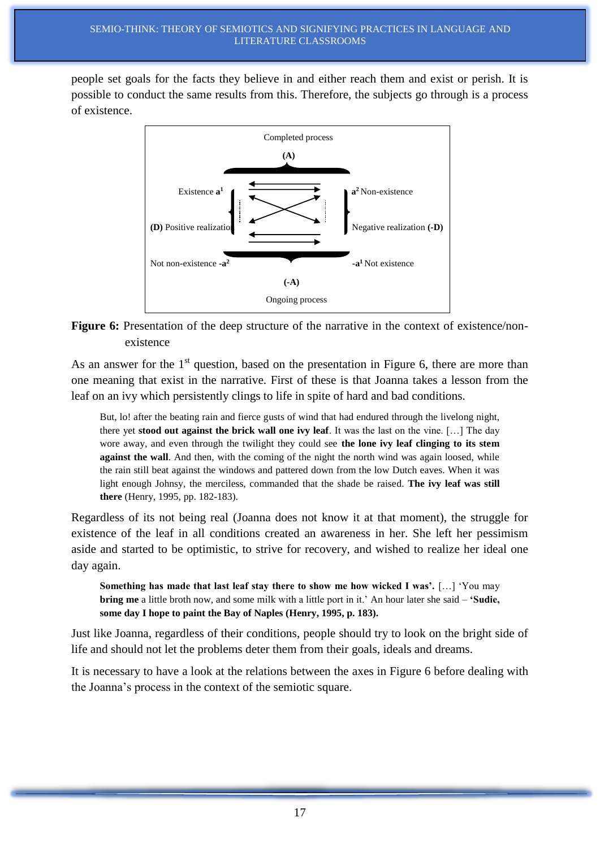people set goals for the facts they believe in and either reach them and exist or perish. It is possible to conduct the same results from this. Therefore, the subjects go through is a process of existence.



## **Figure 6:** Presentation of the deep structure of the narrative in the context of existence/nonexistence

As an answer for the 1<sup>st</sup> question, based on the presentation in Figure 6, there are more than one meaning that exist in the narrative. First of these is that Joanna takes a lesson from the leaf on an ivy which persistently clings to life in spite of hard and bad conditions.

But, lo! after the beating rain and fierce gusts of wind that had endured through the livelong night, there yet **stood out against the brick wall one ivy leaf**. It was the last on the vine. […] The day wore away, and even through the twilight they could see **the lone ivy leaf clinging to its stem against the wall**. And then, with the coming of the night the north wind was again loosed, while the rain still beat against the windows and pattered down from the low Dutch eaves. When it was light enough Johnsy, the merciless, commanded that the shade be raised. **The ivy leaf was still there** (Henry, 1995, pp. 182-183).

Regardless of its not being real (Joanna does not know it at that moment), the struggle for existence of the leaf in all conditions created an awareness in her. She left her pessimism aside and started to be optimistic, to strive for recovery, and wished to realize her ideal one day again.

**Something has made that last leaf stay there to show me how wicked I was'.** […] 'You may **bring me** a little broth now, and some milk with a little port in it.' An hour later she said – **'Sudie, some day I hope to paint the Bay of Naples (Henry, 1995, p. 183).**

Just like Joanna, regardless of their conditions, people should try to look on the bright side of life and should not let the problems deter them from their goals, ideals and dreams.

It is necessary to have a look at the relations between the axes in Figure 6 before dealing with the Joanna's process in the context of the semiotic square.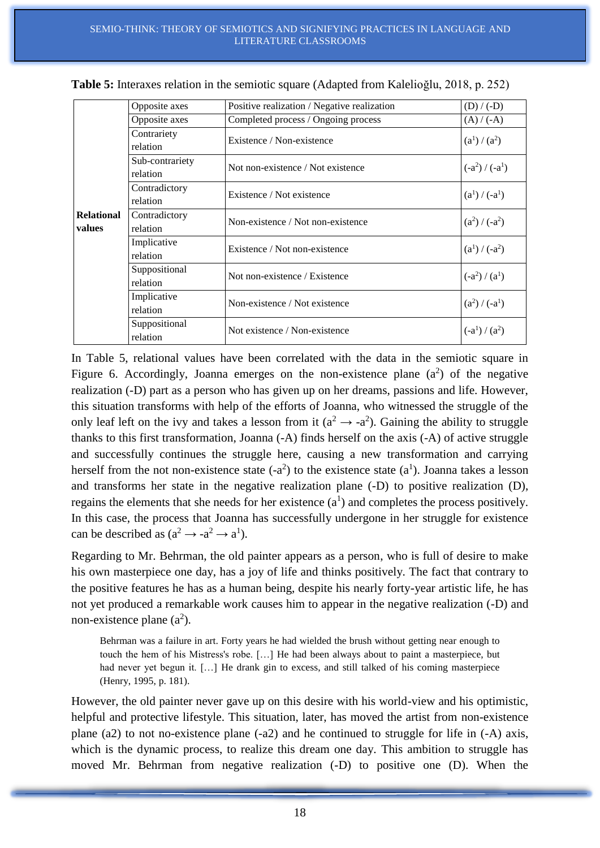|                             | Opposite axes               | Positive realization / Negative realization | $(D) / (-D)$         |
|-----------------------------|-----------------------------|---------------------------------------------|----------------------|
|                             | Opposite axes               | Completed process / Ongoing process         | $(A) / (-A)$         |
|                             | Contrariety<br>relation     | Existence / Non-existence                   | $(a^{1})/(a^{2})$    |
|                             | Sub-contrariety<br>relation | Not non-existence / Not existence           | $(-a^2) / (-a^1)$    |
|                             | Contradictory<br>relation   | Existence / Not existence                   | $(a^{1}) / (-a^{1})$ |
| <b>Relational</b><br>values | Contradictory<br>relation   | Non-existence / Not non-existence           | $(a^2) / (-a^2)$     |
|                             | Implicative<br>relation     | Existence / Not non-existence               | $(a^{1}) / (-a^{2})$ |
|                             | Suppositional<br>relation   | Not non-existence / Existence               | $(-a^2) / (a^1)$     |
|                             | Implicative<br>relation     | Non-existence / Not existence               | $(a^2) / (-a^1)$     |
|                             | Suppositional<br>relation   | Not existence / Non-existence               | $(-a^1) / (a^2)$     |

|  | Table 5: Interaxes relation in the semiotic square (Adapted from Kalelioğlu, 2018, p. 252) |
|--|--------------------------------------------------------------------------------------------|
|--|--------------------------------------------------------------------------------------------|

In Table 5, relational values have been correlated with the data in the semiotic square in Figure 6. Accordingly, Joanna emerges on the non-existence plane  $(a<sup>2</sup>)$  of the negative realization (-D) part as a person who has given up on her dreams, passions and life. However, this situation transforms with help of the efforts of Joanna, who witnessed the struggle of the only leaf left on the ivy and takes a lesson from it  $(a^2 \rightarrow -a^2)$ . Gaining the ability to struggle thanks to this first transformation, Joanna (-A) finds herself on the axis (-A) of active struggle and successfully continues the struggle here, causing a new transformation and carrying herself from the not non-existence state  $(-a^2)$  to the existence state  $(a^1)$ . Joanna takes a lesson and transforms her state in the negative realization plane (-D) to positive realization (D), regains the elements that she needs for her existence  $(a<sup>1</sup>)$  and completes the process positively. In this case, the process that Joanna has successfully undergone in her struggle for existence can be described as  $(a^2 \rightarrow -a^2 \rightarrow a^1)$ .

Regarding to Mr. Behrman, the old painter appears as a person, who is full of desire to make his own masterpiece one day, has a joy of life and thinks positively. The fact that contrary to the positive features he has as a human being, despite his nearly forty-year artistic life, he has not yet produced a remarkable work causes him to appear in the negative realization (-D) and non-existence plane  $(a^2)$ .

Behrman was a failure in art. Forty years he had wielded the brush without getting near enough to touch the hem of his Mistress's robe. […] He had been always about to paint a masterpiece, but had never yet begun it. […] He drank gin to excess, and still talked of his coming masterpiece (Henry, 1995, p. 181).

However, the old painter never gave up on this desire with his world-view and his optimistic, helpful and protective lifestyle. This situation, later, has moved the artist from non-existence plane (a2) to not no-existence plane (-a2) and he continued to struggle for life in (-A) axis, which is the dynamic process, to realize this dream one day. This ambition to struggle has moved Mr. Behrman from negative realization (-D) to positive one (D). When the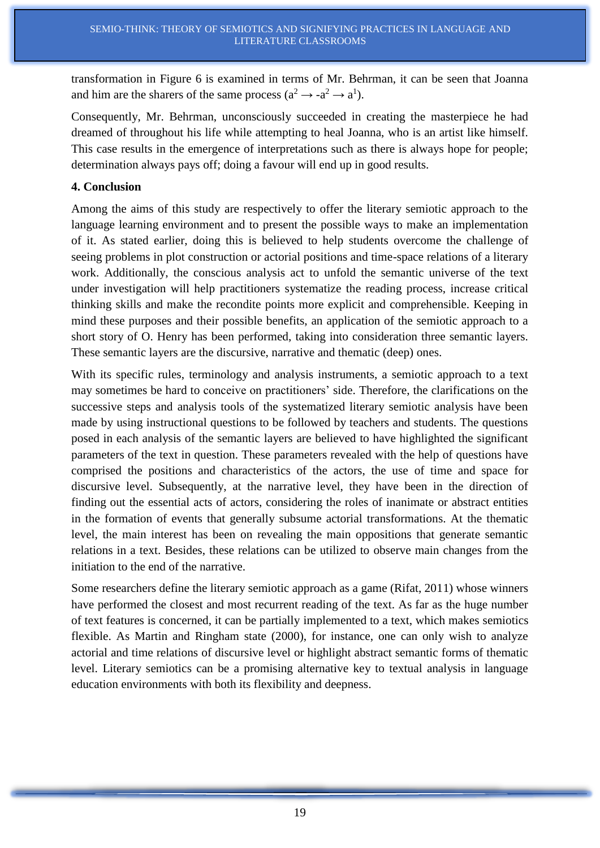transformation in Figure 6 is examined in terms of Mr. Behrman, it can be seen that Joanna and him are the sharers of the same process ( $a^2 \rightarrow -a^2 \rightarrow a^1$ ).

Consequently, Mr. Behrman, unconsciously succeeded in creating the masterpiece he had dreamed of throughout his life while attempting to heal Joanna, who is an artist like himself. This case results in the emergence of interpretations such as there is always hope for people; determination always pays off; doing a favour will end up in good results.

#### **4. Conclusion**

Among the aims of this study are respectively to offer the literary semiotic approach to the language learning environment and to present the possible ways to make an implementation of it. As stated earlier, doing this is believed to help students overcome the challenge of seeing problems in plot construction or actorial positions and time-space relations of a literary work. Additionally, the conscious analysis act to unfold the semantic universe of the text under investigation will help practitioners systematize the reading process, increase critical thinking skills and make the recondite points more explicit and comprehensible. Keeping in mind these purposes and their possible benefits, an application of the semiotic approach to a short story of O. Henry has been performed, taking into consideration three semantic layers. These semantic layers are the discursive, narrative and thematic (deep) ones.

With its specific rules, terminology and analysis instruments, a semiotic approach to a text may sometimes be hard to conceive on practitioners' side. Therefore, the clarifications on the successive steps and analysis tools of the systematized literary semiotic analysis have been made by using instructional questions to be followed by teachers and students. The questions posed in each analysis of the semantic layers are believed to have highlighted the significant parameters of the text in question. These parameters revealed with the help of questions have comprised the positions and characteristics of the actors, the use of time and space for discursive level. Subsequently, at the narrative level, they have been in the direction of finding out the essential acts of actors, considering the roles of inanimate or abstract entities in the formation of events that generally subsume actorial transformations. At the thematic level, the main interest has been on revealing the main oppositions that generate semantic relations in a text. Besides, these relations can be utilized to observe main changes from the initiation to the end of the narrative.

Some researchers define the literary semiotic approach as a game (Rifat, 2011) whose winners have performed the closest and most recurrent reading of the text. As far as the huge number of text features is concerned, it can be partially implemented to a text, which makes semiotics flexible. As Martin and Ringham state (2000), for instance, one can only wish to analyze actorial and time relations of discursive level or highlight abstract semantic forms of thematic level. Literary semiotics can be a promising alternative key to textual analysis in language education environments with both its flexibility and deepness.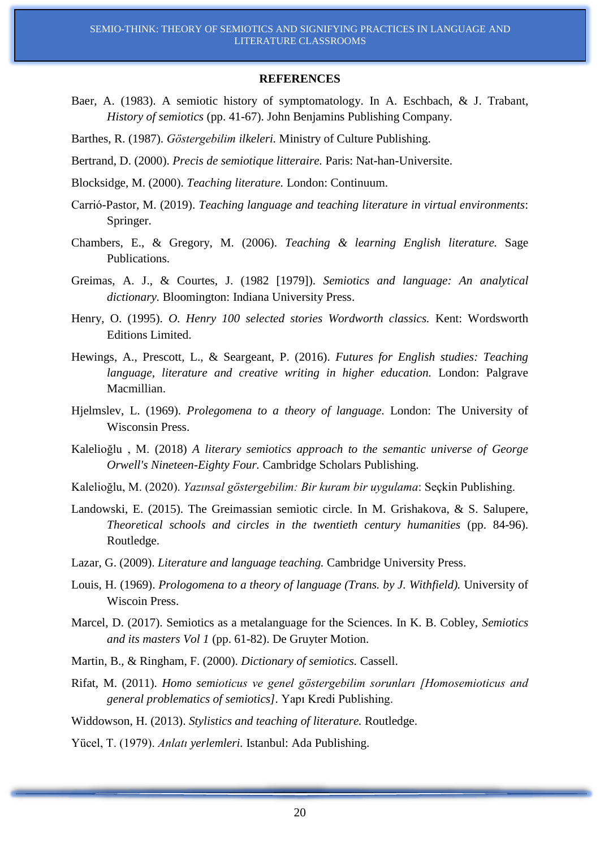#### **REFERENCES**

Baer, A. (1983). A semiotic history of symptomatology. In A. Eschbach, & J. Trabant, *History of semiotics* (pp. 41-67). John Benjamins Publishing Company.

Barthes, R. (1987). *Göstergebilim ilkeleri.* Ministry of Culture Publishing.

Bertrand, D. (2000). *Precis de semiotique litteraire.* Paris: Nat-han-Universite.

- Blocksidge, M. (2000). *Teaching literature.* London: Continuum.
- Carrió-Pastor, M. (2019). *Teaching language and teaching literature in virtual environments*: Springer.
- Chambers, E., & Gregory, M. (2006). *Teaching & learning English literature.* Sage Publications.
- Greimas, A. J., & Courtes, J. (1982 [1979]). *Semiotics and language: An analytical dictionary.* Bloomington: Indiana University Press.
- Henry, O. (1995). *O. Henry 100 selected stories Wordworth classics.* Kent: Wordsworth Editions Limited.
- Hewings, A., Prescott, L., & Seargeant, P. (2016). *Futures for English studies: Teaching language, literature and creative writing in higher education.* London: Palgrave Macmillian.
- Hjelmslev, L. (1969). *Prolegomena to a theory of language*. London: The University of Wisconsin Press.
- Kalelioğlu , M. (2018) *A literary semiotics approach to the semantic universe of George Orwell's Nineteen-Eighty Four.* Cambridge Scholars Publishing.
- Kalelioğlu, M. (2020). *Yazınsal göstergebilim: Bir kuram bir uygulama*: Seçkin Publishing.
- Landowski, E. (2015). The Greimassian semiotic circle. In M. Grishakova, & S. Salupere, *Theoretical schools and circles in the twentieth century humanities* (pp. 84-96). Routledge.
- Lazar, G. (2009). *Literature and language teaching.* Cambridge University Press.
- Louis, H. (1969). *Prologomena to a theory of language (Trans. by J. Withfield).* University of Wiscoin Press.
- Marcel, D. (2017). Semiotics as a metalanguage for the Sciences. In K. B. Cobley, *Semiotics and its masters Vol 1* (pp. 61-82). De Gruyter Motion.
- Martin, B., & Ringham, F. (2000). *Dictionary of semiotics.* Cassell.
- Rifat, M. (2011). *Homo semioticus ve genel göstergebilim sorunları [Homosemioticus and general problematics of semiotics].* Yapı Kredi Publishing.

Widdowson, H. (2013). *Stylistics and teaching of literature.* Routledge.

Yücel, T. (1979). *Anlatı yerlemleri.* Istanbul: Ada Publishing.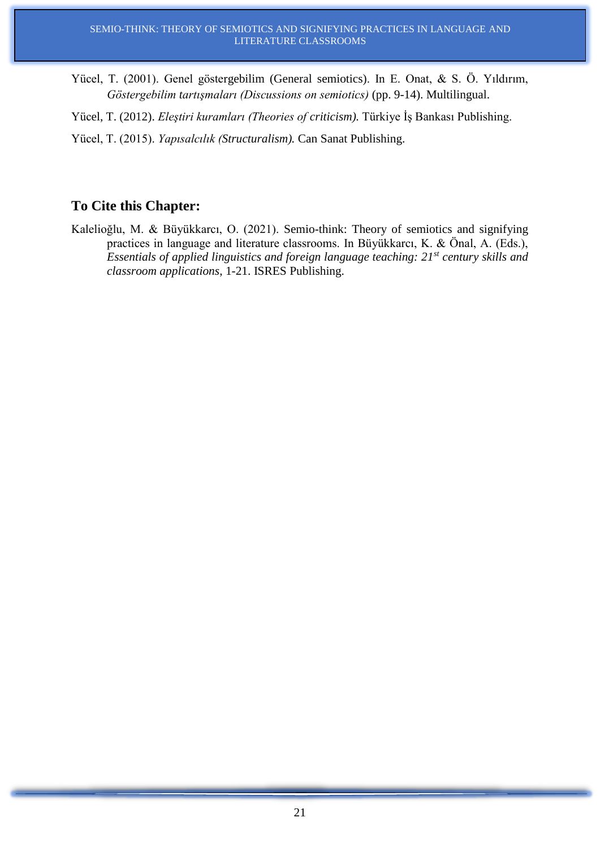- Yücel, T. (2001). Genel göstergebilim (General semiotics). In E. Onat, & S. Ö. Yıldırım, *Göstergebilim tartışmaları (Discussions on semiotics)* (pp. 9-14). Multilingual.
- Yücel, T. (2012). *Eleştiri kuramları (Theories of criticism).* Türkiye İş Bankası Publishing.

Yücel, T. (2015). *Yapısalcılık (Structuralism).* Can Sanat Publishing.

# **To Cite this Chapter:**

Kalelioğlu, M. & Büyükkarcı, O. (2021). Semio-think: Theory of semiotics and signifying practices in language and literature classrooms. In Büyükkarcı, K. & Önal, A. (Eds.), *Essentials of applied linguistics and foreign language teaching: 21st century skills and classroom applications*, 1-21. ISRES Publishing.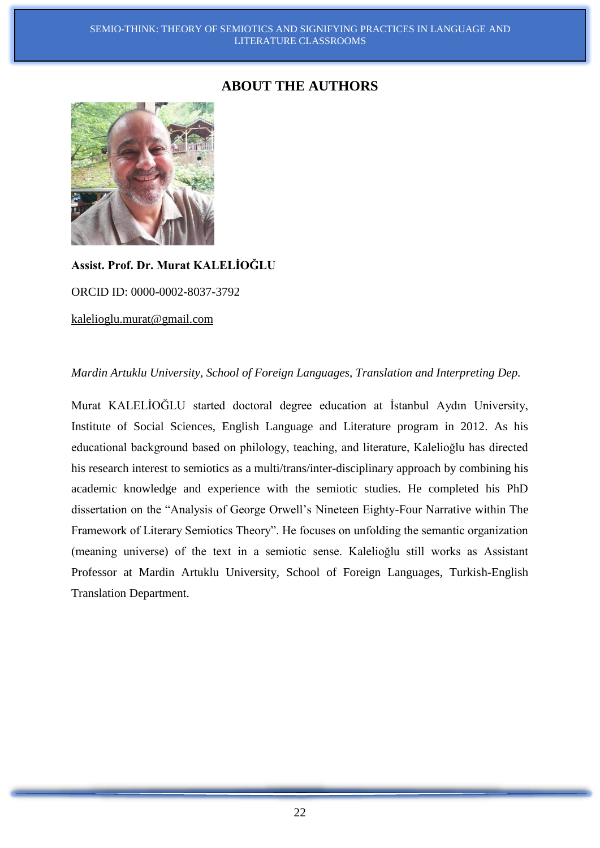## **ABOUT THE AUTHORS**



# **Assist. Prof. Dr. Murat KALELİOĞLU**

ORCID ID: 0000-0002-8037-3792

[kalelioglu.murat@gmail.com](mailto:kalelioglu.murat@gmail.com)

### *Mardin Artuklu University, School of Foreign Languages, Translation and Interpreting Dep.*

Murat KALELİOĞLU started doctoral degree education at İstanbul Aydın University, Institute of Social Sciences, English Language and Literature program in 2012. As his educational background based on philology, teaching, and literature, Kalelioğlu has directed his research interest to semiotics as a multi/trans/inter-disciplinary approach by combining his academic knowledge and experience with the semiotic studies. He completed his PhD dissertation on the "Analysis of George Orwell's Nineteen Eighty-Four Narrative within The Framework of Literary Semiotics Theory". He focuses on unfolding the semantic organization (meaning universe) of the text in a semiotic sense. Kalelioğlu still works as Assistant Professor at Mardin Artuklu University, School of Foreign Languages, Turkish-English Translation Department.